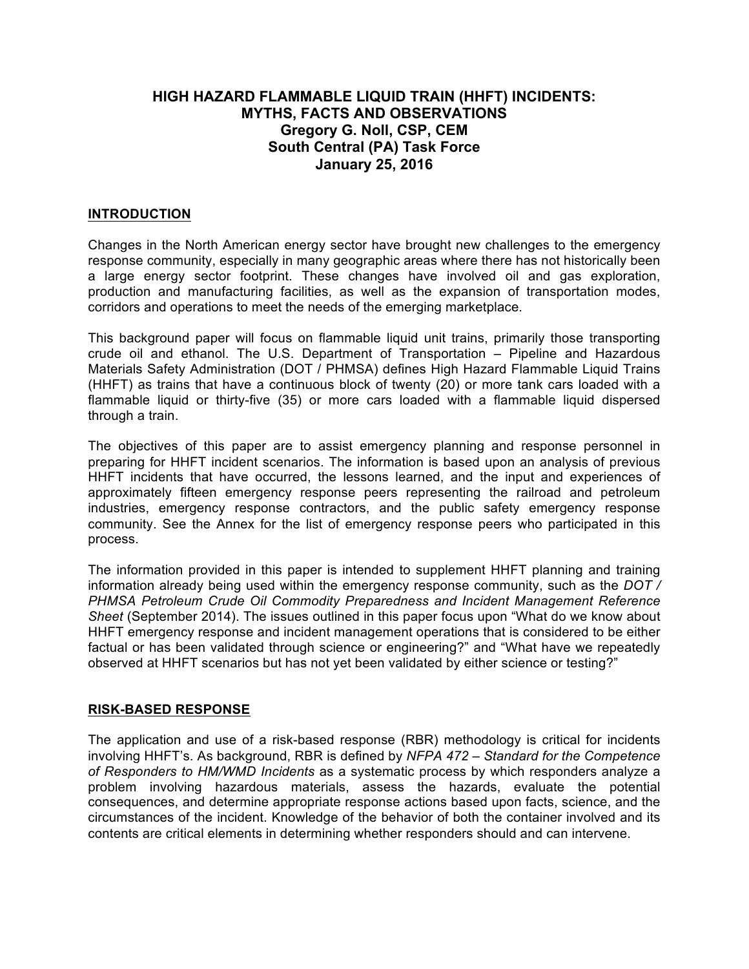# **HIGH HAZARD FLAMMABLE LIQUID TRAIN (HHFT) INCIDENTS: MYTHS, FACTS AND OBSERVATIONS Gregory G. Noll, CSP, CEM South Central (PA) Task Force January 25, 2016**

### **INTRODUCTION**

Changes in the North American energy sector have brought new challenges to the emergency response community, especially in many geographic areas where there has not historically been a large energy sector footprint. These changes have involved oil and gas exploration, production and manufacturing facilities, as well as the expansion of transportation modes, corridors and operations to meet the needs of the emerging marketplace.

This background paper will focus on flammable liquid unit trains, primarily those transporting crude oil and ethanol. The U.S. Department of Transportation – Pipeline and Hazardous Materials Safety Administration (DOT / PHMSA) defines High Hazard Flammable Liquid Trains (HHFT) as trains that have a continuous block of twenty (20) or more tank cars loaded with a flammable liquid or thirty-five (35) or more cars loaded with a flammable liquid dispersed through a train.

The objectives of this paper are to assist emergency planning and response personnel in preparing for HHFT incident scenarios. The information is based upon an analysis of previous HHFT incidents that have occurred, the lessons learned, and the input and experiences of approximately fifteen emergency response peers representing the railroad and petroleum industries, emergency response contractors, and the public safety emergency response community. See the Annex for the list of emergency response peers who participated in this process.

The information provided in this paper is intended to supplement HHFT planning and training information already being used within the emergency response community, such as the *DOT / PHMSA Petroleum Crude Oil Commodity Preparedness and Incident Management Reference Sheet* (September 2014). The issues outlined in this paper focus upon "What do we know about HHFT emergency response and incident management operations that is considered to be either factual or has been validated through science or engineering?" and "What have we repeatedly observed at HHFT scenarios but has not yet been validated by either science or testing?"

#### **RISK-BASED RESPONSE**

The application and use of a risk-based response (RBR) methodology is critical for incidents involving HHFT's. As background, RBR is defined by *NFPA 472 – Standard for the Competence of Responders to HM/WMD Incidents* as a systematic process by which responders analyze a problem involving hazardous materials, assess the hazards, evaluate the potential consequences, and determine appropriate response actions based upon facts, science, and the circumstances of the incident. Knowledge of the behavior of both the container involved and its contents are critical elements in determining whether responders should and can intervene.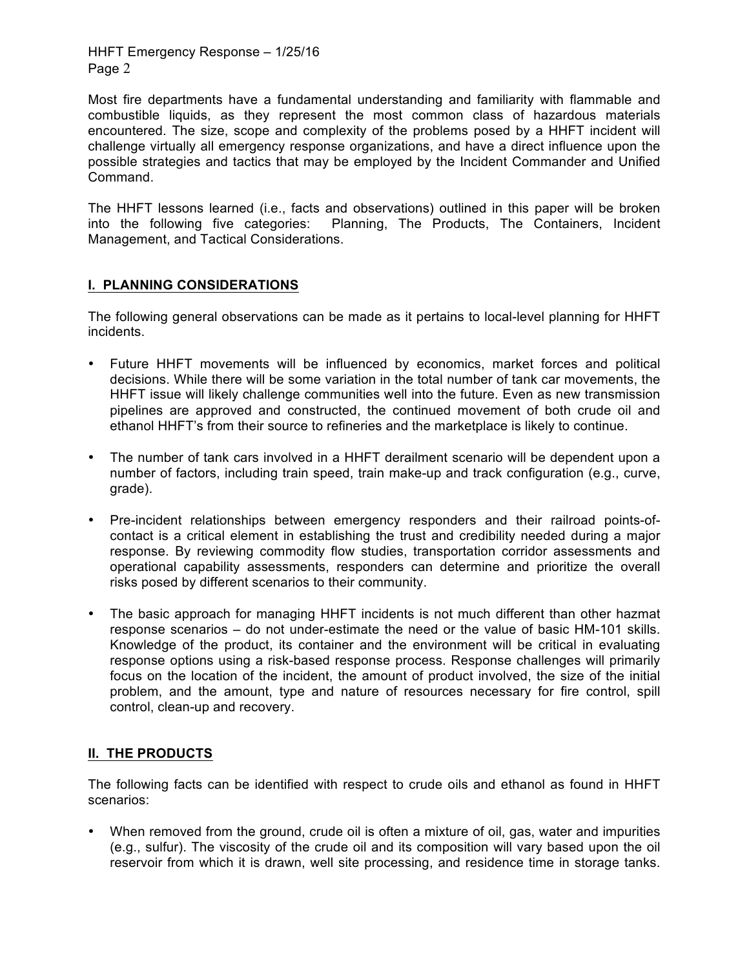Most fire departments have a fundamental understanding and familiarity with flammable and combustible liquids, as they represent the most common class of hazardous materials encountered. The size, scope and complexity of the problems posed by a HHFT incident will challenge virtually all emergency response organizations, and have a direct influence upon the possible strategies and tactics that may be employed by the Incident Commander and Unified Command.

The HHFT lessons learned (i.e., facts and observations) outlined in this paper will be broken into the following five categories: Planning, The Products, The Containers, Incident Management, and Tactical Considerations.

### **I. PLANNING CONSIDERATIONS**

The following general observations can be made as it pertains to local-level planning for HHFT incidents.

- Future HHFT movements will be influenced by economics, market forces and political decisions. While there will be some variation in the total number of tank car movements, the HHFT issue will likely challenge communities well into the future. Even as new transmission pipelines are approved and constructed, the continued movement of both crude oil and ethanol HHFT's from their source to refineries and the marketplace is likely to continue.
- The number of tank cars involved in a HHFT derailment scenario will be dependent upon a number of factors, including train speed, train make-up and track configuration (e.g., curve, grade).
- Pre-incident relationships between emergency responders and their railroad points-ofcontact is a critical element in establishing the trust and credibility needed during a major response. By reviewing commodity flow studies, transportation corridor assessments and operational capability assessments, responders can determine and prioritize the overall risks posed by different scenarios to their community.
- The basic approach for managing HHFT incidents is not much different than other hazmat response scenarios – do not under-estimate the need or the value of basic HM-101 skills. Knowledge of the product, its container and the environment will be critical in evaluating response options using a risk-based response process. Response challenges will primarily focus on the location of the incident, the amount of product involved, the size of the initial problem, and the amount, type and nature of resources necessary for fire control, spill control, clean-up and recovery.

# **II. THE PRODUCTS**

The following facts can be identified with respect to crude oils and ethanol as found in HHFT scenarios:

• When removed from the ground, crude oil is often a mixture of oil, gas, water and impurities (e.g., sulfur). The viscosity of the crude oil and its composition will vary based upon the oil reservoir from which it is drawn, well site processing, and residence time in storage tanks.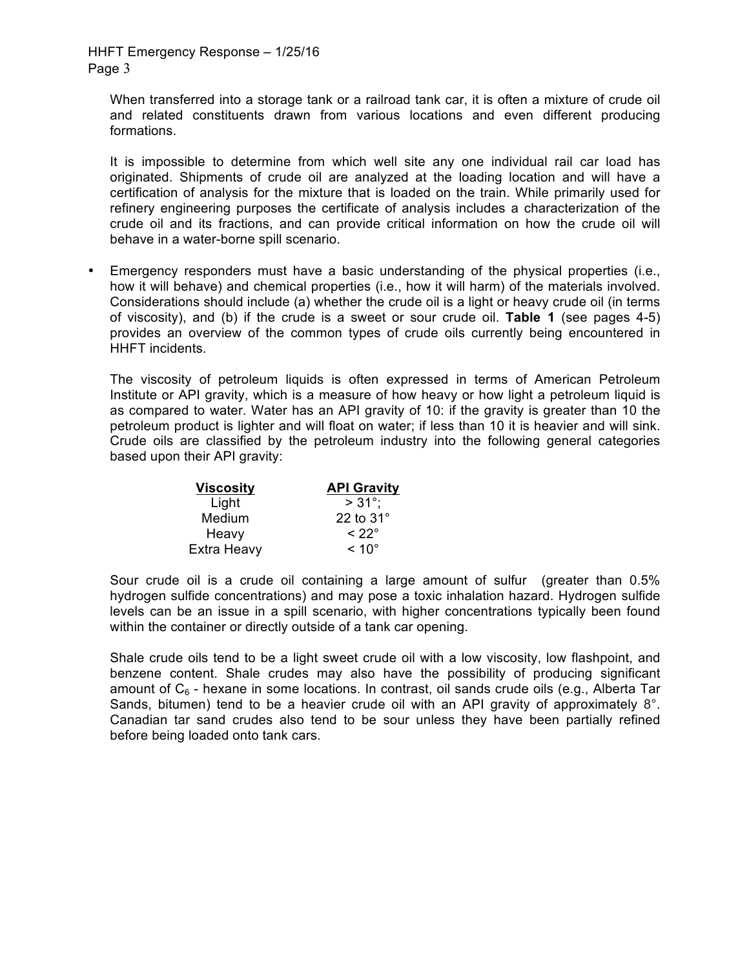When transferred into a storage tank or a railroad tank car, it is often a mixture of crude oil and related constituents drawn from various locations and even different producing formations.

It is impossible to determine from which well site any one individual rail car load has originated. Shipments of crude oil are analyzed at the loading location and will have a certification of analysis for the mixture that is loaded on the train. While primarily used for refinery engineering purposes the certificate of analysis includes a characterization of the crude oil and its fractions, and can provide critical information on how the crude oil will behave in a water-borne spill scenario.

• Emergency responders must have a basic understanding of the physical properties (i.e., how it will behave) and chemical properties (i.e., how it will harm) of the materials involved. Considerations should include (a) whether the crude oil is a light or heavy crude oil (in terms of viscosity), and (b) if the crude is a sweet or sour crude oil. **Table 1** (see pages 4-5) provides an overview of the common types of crude oils currently being encountered in HHFT incidents.

The viscosity of petroleum liquids is often expressed in terms of American Petroleum Institute or API gravity, which is a measure of how heavy or how light a petroleum liquid is as compared to water. Water has an API gravity of 10: if the gravity is greater than 10 the petroleum product is lighter and will float on water; if less than 10 it is heavier and will sink. Crude oils are classified by the petroleum industry into the following general categories based upon their API gravity:

| <b>Viscosity</b> | <b>API Gravity</b> |
|------------------|--------------------|
| Light            | $> 31^{\circ}$     |
| Medium           | 22 to $31^\circ$   |
| Heavy            | $< 22^{\circ}$     |
| Extra Heavy      | $~<$ 10 $^{\circ}$ |

Sour crude oil is a crude oil containing a large amount of sulfur (greater than 0.5% hydrogen sulfide concentrations) and may pose a toxic inhalation hazard. Hydrogen sulfide levels can be an issue in a spill scenario, with higher concentrations typically been found within the container or directly outside of a tank car opening.

Shale crude oils tend to be a light sweet crude oil with a low viscosity, low flashpoint, and benzene content. Shale crudes may also have the possibility of producing significant amount of  $C_6$  - hexane in some locations. In contrast, oil sands crude oils (e.g., Alberta Tar Sands, bitumen) tend to be a heavier crude oil with an API gravity of approximately 8°. Canadian tar sand crudes also tend to be sour unless they have been partially refined before being loaded onto tank cars.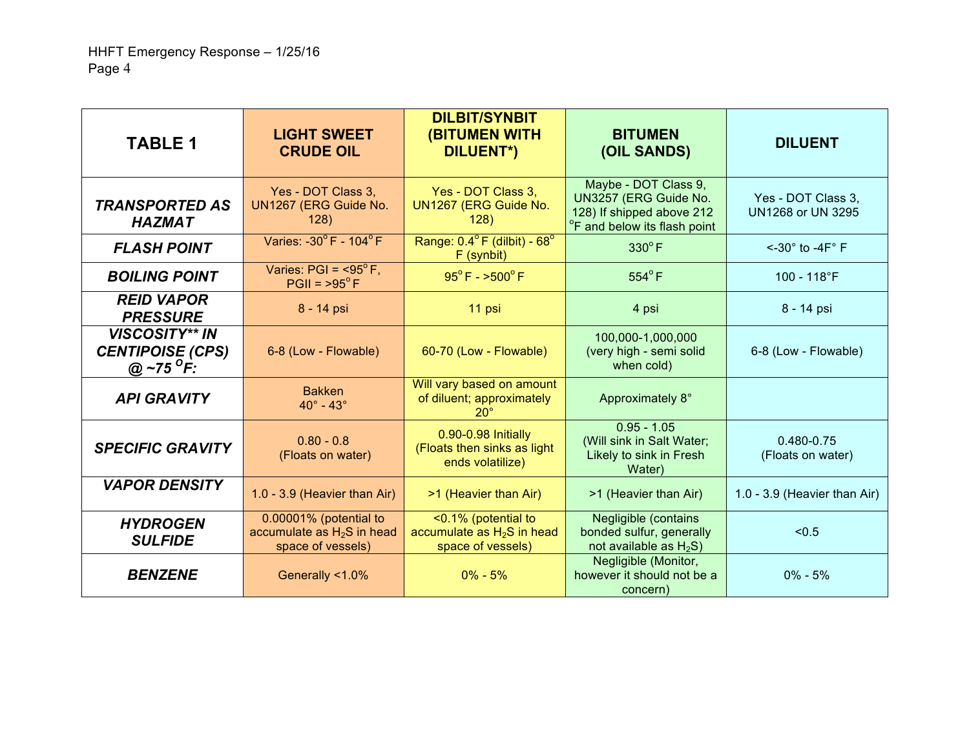| <b>TABLE 1</b>                                                          | <b>LIGHT SWEET</b><br><b>CRUDE OIL</b>                                      | <b>DILBIT/SYNBIT</b><br><b>(BITUMEN WITH</b><br>DILUENT*)                | <b>BITUMEN</b><br>(OIL SANDS)                                                                                          | <b>DILUENT</b>                          |
|-------------------------------------------------------------------------|-----------------------------------------------------------------------------|--------------------------------------------------------------------------|------------------------------------------------------------------------------------------------------------------------|-----------------------------------------|
| <b>TRANSPORTED AS</b><br><b>HAZMAT</b>                                  | Yes - DOT Class 3,<br>UN1267 (ERG Guide No.<br>128)                         | Yes - DOT Class 3,<br>UN1267 (ERG Guide No.<br>128)                      | Maybe - DOT Class 9,<br>UN3257 (ERG Guide No.<br>128) If shipped above 212<br><sup>o</sup> F and below its flash point | Yes - DOT Class 3,<br>UN1268 or UN 3295 |
| <b>FLASH POINT</b>                                                      | Varies: -30°F - 104°F                                                       | Range: $0.4^{\circ}$ F (dilbit) - $68^{\circ}$<br>F (synbit)             | $330^{\circ}$ F                                                                                                        | $\leq$ -30 $\degree$ to -4F $\degree$ F |
| <b>BOILING POINT</b>                                                    | Varies: $PGI = 95^{\circ}F,$<br>$PGII = 95^{\circ}F$                        | $95^{\circ}$ F - $>500^{\circ}$ F                                        | $554^{\circ}$ F                                                                                                        | 100 - 118°F                             |
| <b>REID VAPOR</b><br><b>PRESSURE</b>                                    | 8 - 14 psi                                                                  | 11 psi                                                                   | 4 psi                                                                                                                  | 8 - 14 psi                              |
| <b>VISCOSITY** IN</b><br><b>CENTIPOISE (CPS)</b><br>@ ~75 $^{\circ}$ F: | 6-8 (Low - Flowable)                                                        | 60-70 (Low - Flowable)                                                   | 100,000-1,000,000<br>(very high - semi solid<br>when cold)                                                             | 6-8 (Low - Flowable)                    |
| <b>API GRAVITY</b>                                                      | <b>Bakken</b><br>$40^\circ$ - $43^\circ$                                    | Will vary based on amount<br>of diluent; approximately<br>$20^\circ$     | Approximately 8°                                                                                                       |                                         |
| <b>SPECIFIC GRAVITY</b>                                                 | $0.80 - 0.8$<br>(Floats on water)                                           | 0.90-0.98 Initially<br>(Floats then sinks as light<br>ends volatilize)   | $0.95 - 1.05$<br>(Will sink in Salt Water;<br>Likely to sink in Fresh<br>Water)                                        | 0.480-0.75<br>(Floats on water)         |
| <b>VAPOR DENSITY</b>                                                    | 1.0 - 3.9 (Heavier than Air)                                                | >1 (Heavier than Air)                                                    | >1 (Heavier than Air)                                                                                                  | 1.0 - 3.9 (Heavier than Air)            |
| <b>HYDROGEN</b><br><b>SULFIDE</b>                                       | 0.00001% (potential to<br>accumulate as $H_2S$ in head<br>space of vessels) | <0.1% (potential to<br>accumulate as $H_2S$ in head<br>space of vessels) | <b>Negligible (contains)</b><br>bonded sulfur, generally<br>not available as $H_2S$ )                                  | < 0.5                                   |
| <b>BENZENE</b>                                                          | Generally <1.0%                                                             | $0\% - 5\%$                                                              | Negligible (Monitor,<br>however it should not be a<br>concern)                                                         | $0\% - 5\%$                             |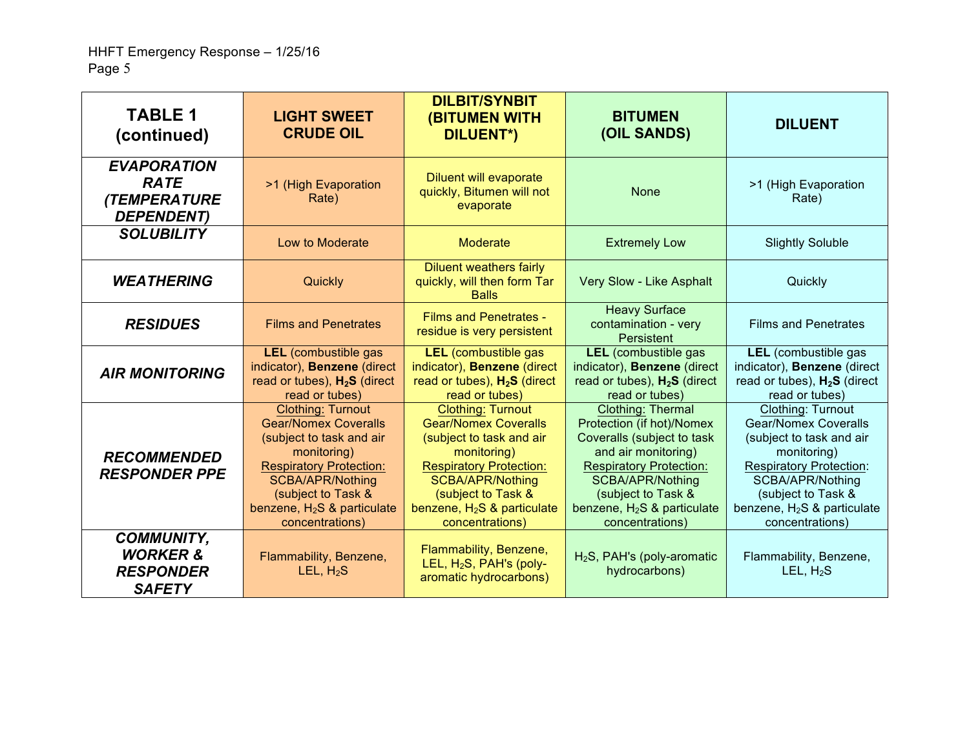| <b>TABLE 1</b><br>(continued)                                                  | <b>LIGHT SWEET</b><br><b>CRUDE OIL</b>                                                                                                                                                                                                    | <b>DILBIT/SYNBIT</b><br><b>(BITUMEN WITH</b><br><b>DILUENT*)</b>                                                                                                                                                                   | <b>BITUMEN</b><br>(OIL SANDS)                                                                                                                                                                                                       | <b>DILUENT</b>                                                                                                                                                                                                                     |
|--------------------------------------------------------------------------------|-------------------------------------------------------------------------------------------------------------------------------------------------------------------------------------------------------------------------------------------|------------------------------------------------------------------------------------------------------------------------------------------------------------------------------------------------------------------------------------|-------------------------------------------------------------------------------------------------------------------------------------------------------------------------------------------------------------------------------------|------------------------------------------------------------------------------------------------------------------------------------------------------------------------------------------------------------------------------------|
| <b>EVAPORATION</b><br><b>RATE</b><br><b>(TEMPERATURE</b><br><b>DEPENDENT</b> ) | >1 (High Evaporation<br>Rate)                                                                                                                                                                                                             | <b>Diluent will evaporate</b><br>quickly, Bitumen will not<br>evaporate                                                                                                                                                            | <b>None</b>                                                                                                                                                                                                                         | >1 (High Evaporation<br>Rate)                                                                                                                                                                                                      |
| <b>SOLUBILITY</b>                                                              | Low to Moderate                                                                                                                                                                                                                           | <b>Moderate</b>                                                                                                                                                                                                                    | <b>Extremely Low</b>                                                                                                                                                                                                                | <b>Slightly Soluble</b>                                                                                                                                                                                                            |
| <b>WEATHERING</b>                                                              | Quickly                                                                                                                                                                                                                                   | <b>Diluent weathers fairly</b><br>quickly, will then form Tar<br><b>Balls</b>                                                                                                                                                      | Very Slow - Like Asphalt                                                                                                                                                                                                            | Quickly                                                                                                                                                                                                                            |
| <b>RESIDUES</b>                                                                | <b>Films and Penetrates</b>                                                                                                                                                                                                               | <b>Films and Penetrates -</b><br>residue is very persistent                                                                                                                                                                        | <b>Heavy Surface</b><br>contamination - very<br>Persistent                                                                                                                                                                          | <b>Films and Penetrates</b>                                                                                                                                                                                                        |
| <b>AIR MONITORING</b>                                                          | <b>LEL</b> (combustible gas<br>indicator), Benzene (direct<br>read or tubes), $H_2S$ (direct<br>read or tubes)                                                                                                                            | <b>LEL</b> (combustible gas<br>indicator), Benzene (direct<br>read or tubes), $H_2S$ (direct<br>read or tubes)                                                                                                                     | <b>LEL</b> (combustible gas<br>indicator), Benzene (direct<br>read or tubes), $H_2S$ (direct<br>read or tubes)                                                                                                                      | LEL (combustible gas<br>indicator), Benzene (direct<br>read or tubes), $H_2S$ (direct<br>read or tubes)                                                                                                                            |
| <b>RECOMMENDED</b><br><b>RESPONDER PPE</b>                                     | <b>Clothing: Turnout</b><br><b>Gear/Nomex Coveralls</b><br>(subject to task and air<br>monitoring)<br><b>Respiratory Protection:</b><br><b>SCBA/APR/Nothing</b><br>(subject to Task &<br>benzene, $H_2S$ & particulate<br>concentrations) | <b>Clothing: Turnout</b><br><b>Gear/Nomex Coveralls</b><br>(subject to task and air<br>monitoring)<br><b>Respiratory Protection:</b><br>SCBA/APR/Nothing<br>(subject to Task &<br>benzene, $H_2S$ & particulate<br>concentrations) | Clothing: Thermal<br>Protection (if hot)/Nomex<br>Coveralls (subject to task<br>and air monitoring)<br><b>Respiratory Protection:</b><br>SCBA/APR/Nothing<br>(subject to Task &<br>benzene, $H_2S$ & particulate<br>concentrations) | <b>Clothing: Turnout</b><br><b>Gear/Nomex Coveralls</b><br>(subject to task and air<br>monitoring)<br><b>Respiratory Protection:</b><br>SCBA/APR/Nothing<br>(subject to Task &<br>benzene, $H_2S$ & particulate<br>concentrations) |
| <b>COMMUNITY,</b><br><b>WORKER &amp;</b><br><b>RESPONDER</b><br><b>SAFETY</b>  | Flammability, Benzene,<br>LEL, $H_2S$                                                                                                                                                                                                     | Flammability, Benzene,<br>LEL, H <sub>2</sub> S, PAH's (poly-<br>aromatic hydrocarbons)                                                                                                                                            | $H2S$ , PAH's (poly-aromatic<br>hydrocarbons)                                                                                                                                                                                       | Flammability, Benzene,<br>LEL, $H_2S$                                                                                                                                                                                              |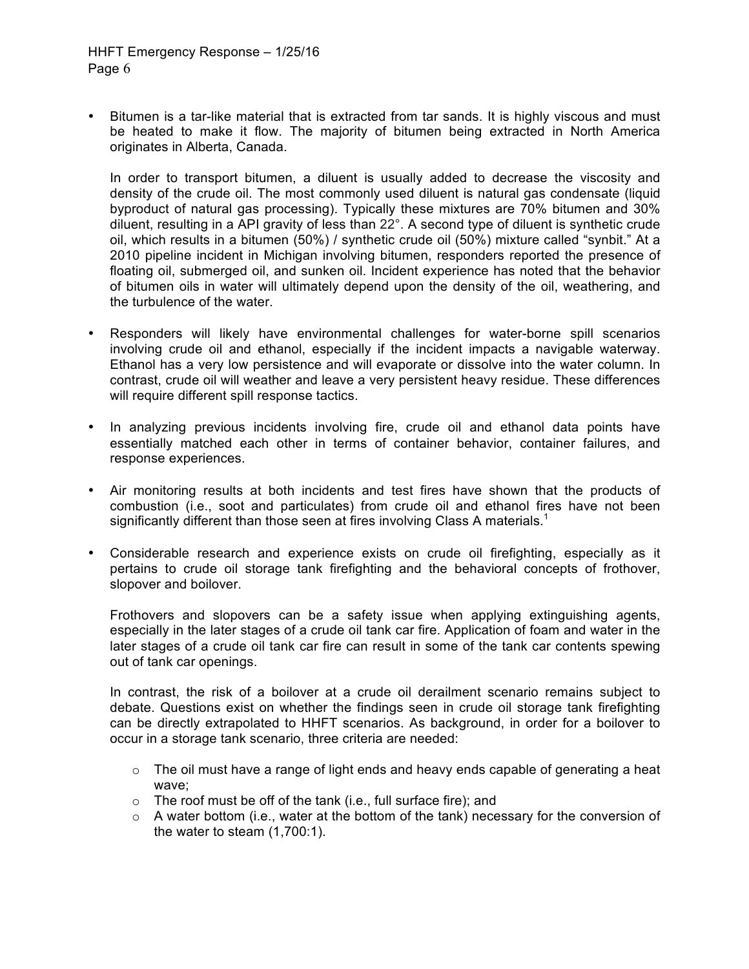• Bitumen is a tar-like material that is extracted from tar sands. It is highly viscous and must be heated to make it flow. The majority of bitumen being extracted in North America originates in Alberta, Canada.

In order to transport bitumen, a diluent is usually added to decrease the viscosity and density of the crude oil. The most commonly used diluent is natural gas condensate (liquid byproduct of natural gas processing). Typically these mixtures are 70% bitumen and 30% diluent, resulting in a API gravity of less than 22°. A second type of diluent is synthetic crude oil, which results in a bitumen (50%) / synthetic crude oil (50%) mixture called "synbit." At a 2010 pipeline incident in Michigan involving bitumen, responders reported the presence of floating oil, submerged oil, and sunken oil. Incident experience has noted that the behavior of bitumen oils in water will ultimately depend upon the density of the oil, weathering, and the turbulence of the water.

- Responders will likely have environmental challenges for water-borne spill scenarios involving crude oil and ethanol, especially if the incident impacts a navigable waterway. Ethanol has a very low persistence and will evaporate or dissolve into the water column. In contrast, crude oil will weather and leave a very persistent heavy residue. These differences will require different spill response tactics.
- In analyzing previous incidents involving fire, crude oil and ethanol data points have essentially matched each other in terms of container behavior, container failures, and response experiences.
- Air monitoring results at both incidents and test fires have shown that the products of combustion (i.e., soot and particulates) from crude oil and ethanol fires have not been significantly different than those seen at fires involving Class A materials.<sup>1</sup>
- Considerable research and experience exists on crude oil firefighting, especially as it pertains to crude oil storage tank firefighting and the behavioral concepts of frothover, slopover and boilover.

Frothovers and slopovers can be a safety issue when applying extinguishing agents, especially in the later stages of a crude oil tank car fire. Application of foam and water in the later stages of a crude oil tank car fire can result in some of the tank car contents spewing out of tank car openings.

In contrast, the risk of a boilover at a crude oil derailment scenario remains subject to debate. Questions exist on whether the findings seen in crude oil storage tank firefighting can be directly extrapolated to HHFT scenarios. As background, in order for a boilover to occur in a storage tank scenario, three criteria are needed:

- $\circ$  The oil must have a range of light ends and heavy ends capable of generating a heat wave;
- o The roof must be off of the tank (i.e., full surface fire); and
- $\circ$  A water bottom (i.e., water at the bottom of the tank) necessary for the conversion of the water to steam (1,700:1).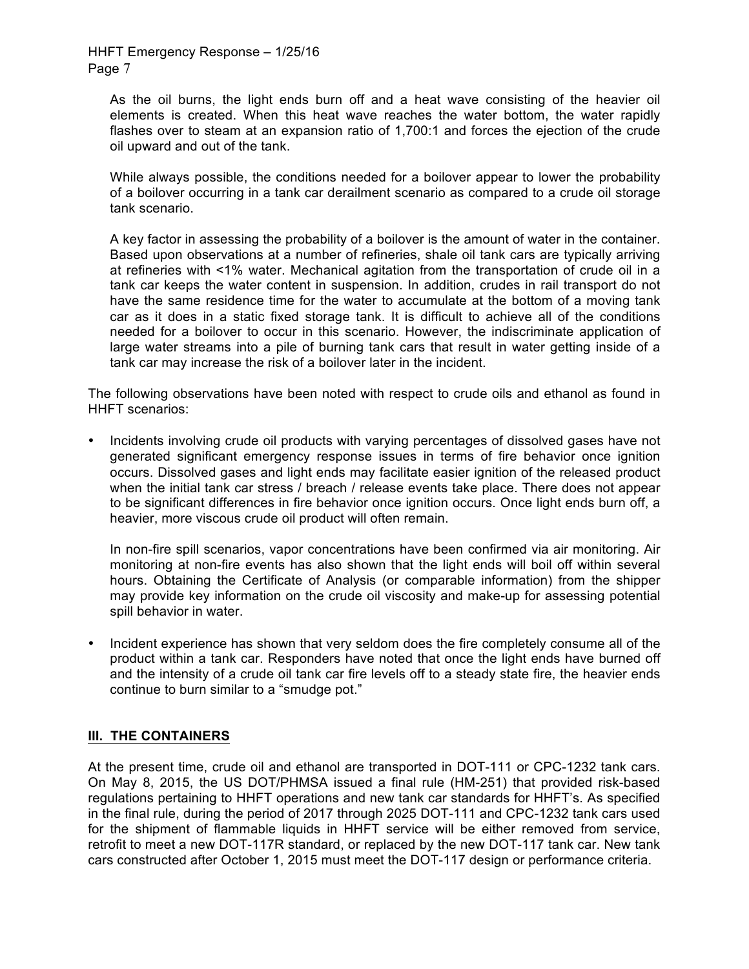As the oil burns, the light ends burn off and a heat wave consisting of the heavier oil elements is created. When this heat wave reaches the water bottom, the water rapidly flashes over to steam at an expansion ratio of 1,700:1 and forces the ejection of the crude oil upward and out of the tank.

While always possible, the conditions needed for a boilover appear to lower the probability of a boilover occurring in a tank car derailment scenario as compared to a crude oil storage tank scenario.

A key factor in assessing the probability of a boilover is the amount of water in the container. Based upon observations at a number of refineries, shale oil tank cars are typically arriving at refineries with <1% water. Mechanical agitation from the transportation of crude oil in a tank car keeps the water content in suspension. In addition, crudes in rail transport do not have the same residence time for the water to accumulate at the bottom of a moving tank car as it does in a static fixed storage tank. It is difficult to achieve all of the conditions needed for a boilover to occur in this scenario. However, the indiscriminate application of large water streams into a pile of burning tank cars that result in water getting inside of a tank car may increase the risk of a boilover later in the incident.

The following observations have been noted with respect to crude oils and ethanol as found in HHFT scenarios:

• Incidents involving crude oil products with varying percentages of dissolved gases have not generated significant emergency response issues in terms of fire behavior once ignition occurs. Dissolved gases and light ends may facilitate easier ignition of the released product when the initial tank car stress / breach / release events take place. There does not appear to be significant differences in fire behavior once ignition occurs. Once light ends burn off, a heavier, more viscous crude oil product will often remain.

In non-fire spill scenarios, vapor concentrations have been confirmed via air monitoring. Air monitoring at non-fire events has also shown that the light ends will boil off within several hours. Obtaining the Certificate of Analysis (or comparable information) from the shipper may provide key information on the crude oil viscosity and make-up for assessing potential spill behavior in water.

• Incident experience has shown that very seldom does the fire completely consume all of the product within a tank car. Responders have noted that once the light ends have burned off and the intensity of a crude oil tank car fire levels off to a steady state fire, the heavier ends continue to burn similar to a "smudge pot."

### **III. THE CONTAINERS**

At the present time, crude oil and ethanol are transported in DOT-111 or CPC-1232 tank cars. On May 8, 2015, the US DOT/PHMSA issued a final rule (HM-251) that provided risk-based regulations pertaining to HHFT operations and new tank car standards for HHFT's. As specified in the final rule, during the period of 2017 through 2025 DOT-111 and CPC-1232 tank cars used for the shipment of flammable liquids in HHFT service will be either removed from service, retrofit to meet a new DOT-117R standard, or replaced by the new DOT-117 tank car. New tank cars constructed after October 1, 2015 must meet the DOT-117 design or performance criteria.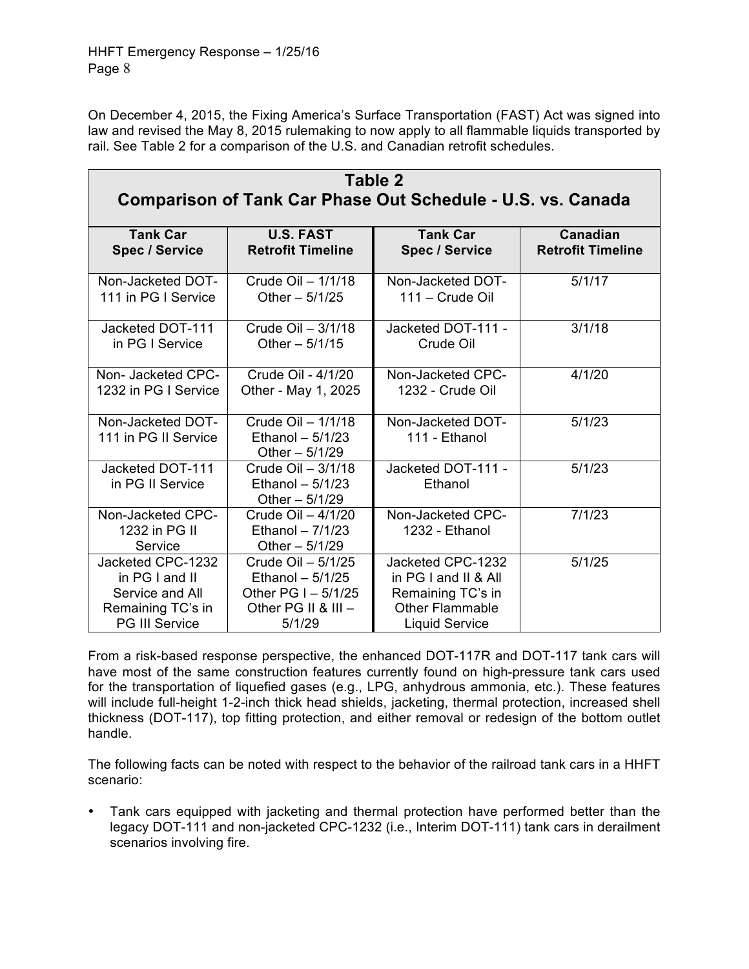On December 4, 2015, the Fixing America's Surface Transportation (FAST) Act was signed into law and revised the May 8, 2015 rulemaking to now apply to all flammable liquids transported by rail. See Table 2 for a comparison of the U.S. and Canadian retrofit schedules.

| Table 2<br>Comparison of Tank Car Phase Out Schedule - U.S. vs. Canada |                                                            |                                     |                          |  |  |  |
|------------------------------------------------------------------------|------------------------------------------------------------|-------------------------------------|--------------------------|--|--|--|
| <b>Tank Car</b>                                                        | <b>U.S. FAST</b>                                           | <b>Tank Car</b>                     | Canadian                 |  |  |  |
| <b>Spec / Service</b>                                                  | <b>Retrofit Timeline</b>                                   | <b>Spec / Service</b>               | <b>Retrofit Timeline</b> |  |  |  |
| Non-Jacketed DOT-                                                      | Crude Oil - 1/1/18                                         | Non-Jacketed DOT-                   | 5/1/17                   |  |  |  |
| 111 in PG I Service                                                    | Other $-5/1/25$                                            | 111 - Crude Oil                     |                          |  |  |  |
| Jacketed DOT-111                                                       | Crude Oil - 3/1/18                                         | Jacketed DOT-111 -                  | 3/1/18                   |  |  |  |
| in PG I Service                                                        | Other $-5/1/15$                                            | Crude Oil                           |                          |  |  |  |
| Non-Jacketed CPC-                                                      | Crude Oil - 4/1/20                                         | Non-Jacketed CPC-                   | 4/1/20                   |  |  |  |
| 1232 in PG I Service                                                   | Other - May 1, 2025                                        | 1232 - Crude Oil                    |                          |  |  |  |
| Non-Jacketed DOT-<br>111 in PG II Service                              | Crude Oil - 1/1/18<br>Ethanol $-5/1/23$<br>Other $-5/1/29$ | Non-Jacketed DOT-<br>111 - Ethanol  | 5/1/23                   |  |  |  |
| Jacketed DOT-111<br>in PG II Service                                   | Crude Oil - 3/1/18<br>Ethanol $-5/1/23$<br>Other $-5/1/29$ | Jacketed DOT-111 -<br>Ethanol       | 5/1/23                   |  |  |  |
| Non-Jacketed CPC-<br>1232 in PG II<br>Service                          | Crude Oil - 4/1/20<br>Ethanol $-7/1/23$<br>Other $-5/1/29$ | Non-Jacketed CPC-<br>1232 - Ethanol | 7/1/23                   |  |  |  |
| Jacketed CPC-1232                                                      | Crude Oil - 5/1/25                                         | Jacketed CPC-1232                   | 5/1/25                   |  |  |  |
| in PG I and II                                                         | Ethanol $-5/1/25$                                          | in PG I and II & All                |                          |  |  |  |
| Service and All                                                        | Other PG $I - 5/1/25$                                      | Remaining TC's in                   |                          |  |  |  |
| Remaining TC's in                                                      | Other PG II & III -                                        | <b>Other Flammable</b>              |                          |  |  |  |
| <b>PG III Service</b>                                                  | 5/1/29                                                     | <b>Liquid Service</b>               |                          |  |  |  |

From a risk-based response perspective, the enhanced DOT-117R and DOT-117 tank cars will have most of the same construction features currently found on high-pressure tank cars used for the transportation of liquefied gases (e.g., LPG, anhydrous ammonia, etc.). These features will include full-height 1-2-inch thick head shields, jacketing, thermal protection, increased shell thickness (DOT-117), top fitting protection, and either removal or redesign of the bottom outlet handle.

The following facts can be noted with respect to the behavior of the railroad tank cars in a HHFT scenario:

• Tank cars equipped with jacketing and thermal protection have performed better than the legacy DOT-111 and non-jacketed CPC-1232 (i.e., Interim DOT-111) tank cars in derailment scenarios involving fire.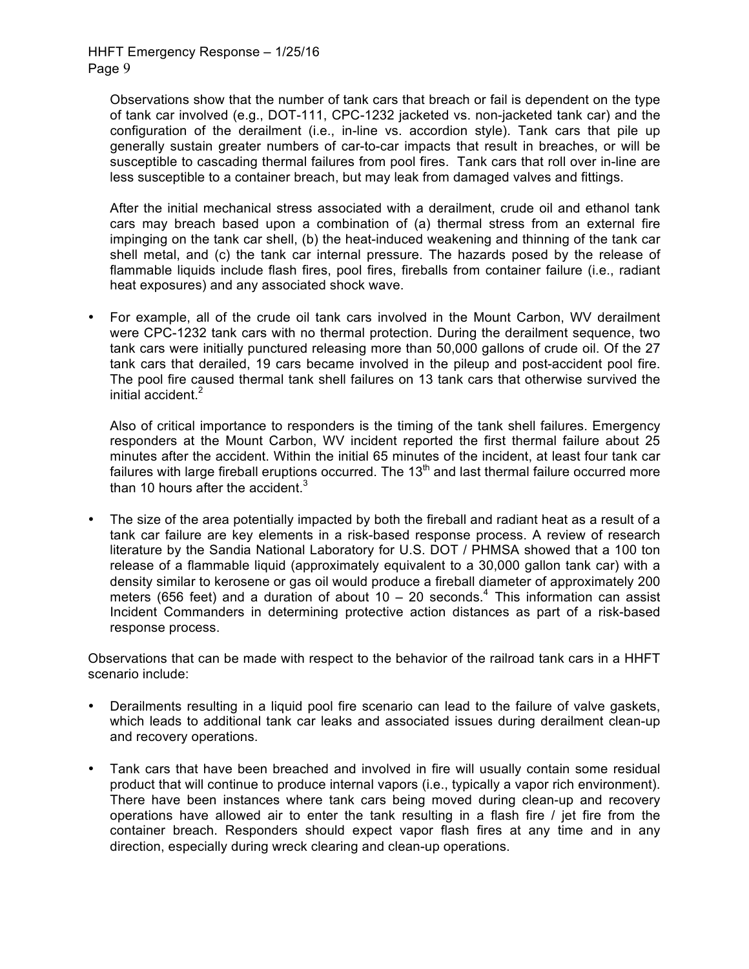Observations show that the number of tank cars that breach or fail is dependent on the type of tank car involved (e.g., DOT-111, CPC-1232 jacketed vs. non-jacketed tank car) and the configuration of the derailment (i.e., in-line vs. accordion style). Tank cars that pile up generally sustain greater numbers of car-to-car impacts that result in breaches, or will be susceptible to cascading thermal failures from pool fires. Tank cars that roll over in-line are less susceptible to a container breach, but may leak from damaged valves and fittings.

After the initial mechanical stress associated with a derailment, crude oil and ethanol tank cars may breach based upon a combination of (a) thermal stress from an external fire impinging on the tank car shell, (b) the heat-induced weakening and thinning of the tank car shell metal, and (c) the tank car internal pressure. The hazards posed by the release of flammable liquids include flash fires, pool fires, fireballs from container failure (i.e., radiant heat exposures) and any associated shock wave.

• For example, all of the crude oil tank cars involved in the Mount Carbon, WV derailment were CPC-1232 tank cars with no thermal protection. During the derailment sequence, two tank cars were initially punctured releasing more than 50,000 gallons of crude oil. Of the 27 tank cars that derailed, 19 cars became involved in the pileup and post-accident pool fire. The pool fire caused thermal tank shell failures on 13 tank cars that otherwise survived the initial accident.<sup>2</sup>

Also of critical importance to responders is the timing of the tank shell failures. Emergency responders at the Mount Carbon, WV incident reported the first thermal failure about 25 minutes after the accident. Within the initial 65 minutes of the incident, at least four tank car failures with large fireball eruptions occurred. The  $13<sup>th</sup>$  and last thermal failure occurred more than 10 hours after the accident. $3 \overline{ }$ 

The size of the area potentially impacted by both the fireball and radiant heat as a result of a tank car failure are key elements in a risk-based response process. A review of research literature by the Sandia National Laboratory for U.S. DOT / PHMSA showed that a 100 ton release of a flammable liquid (approximately equivalent to a 30,000 gallon tank car) with a density similar to kerosene or gas oil would produce a fireball diameter of approximately 200 meters (656 feet) and a duration of about  $10 - 20$  seconds.<sup>4</sup> This information can assist Incident Commanders in determining protective action distances as part of a risk-based response process.

Observations that can be made with respect to the behavior of the railroad tank cars in a HHFT scenario include:

- Derailments resulting in a liquid pool fire scenario can lead to the failure of valve gaskets, which leads to additional tank car leaks and associated issues during derailment clean-up and recovery operations.
- Tank cars that have been breached and involved in fire will usually contain some residual product that will continue to produce internal vapors (i.e., typically a vapor rich environment). There have been instances where tank cars being moved during clean-up and recovery operations have allowed air to enter the tank resulting in a flash fire / jet fire from the container breach. Responders should expect vapor flash fires at any time and in any direction, especially during wreck clearing and clean-up operations.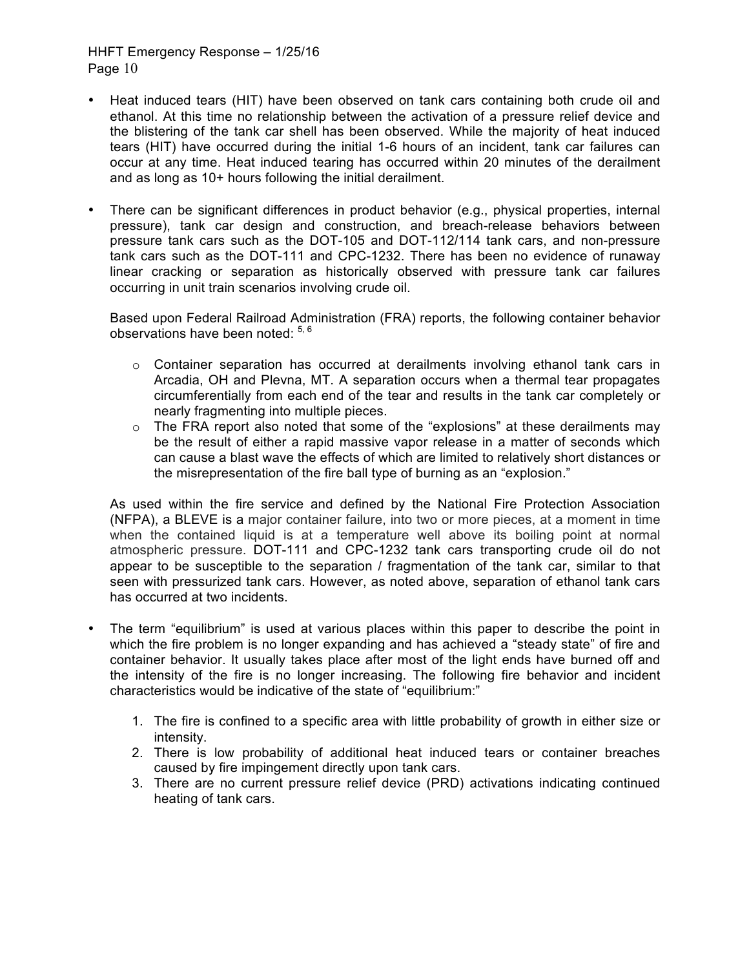- Heat induced tears (HIT) have been observed on tank cars containing both crude oil and ethanol. At this time no relationship between the activation of a pressure relief device and the blistering of the tank car shell has been observed. While the majority of heat induced tears (HIT) have occurred during the initial 1-6 hours of an incident, tank car failures can occur at any time. Heat induced tearing has occurred within 20 minutes of the derailment and as long as 10+ hours following the initial derailment.
- There can be significant differences in product behavior (e.g., physical properties, internal pressure), tank car design and construction, and breach-release behaviors between pressure tank cars such as the DOT-105 and DOT-112/114 tank cars, and non-pressure tank cars such as the DOT-111 and CPC-1232. There has been no evidence of runaway linear cracking or separation as historically observed with pressure tank car failures occurring in unit train scenarios involving crude oil.

Based upon Federal Railroad Administration (FRA) reports, the following container behavior observations have been noted:  $5, 6$ 

- $\circ$  Container separation has occurred at derailments involving ethanol tank cars in Arcadia, OH and Plevna, MT. A separation occurs when a thermal tear propagates circumferentially from each end of the tear and results in the tank car completely or nearly fragmenting into multiple pieces.
- $\circ$  The FRA report also noted that some of the "explosions" at these derailments may be the result of either a rapid massive vapor release in a matter of seconds which can cause a blast wave the effects of which are limited to relatively short distances or the misrepresentation of the fire ball type of burning as an "explosion."

As used within the fire service and defined by the National Fire Protection Association (NFPA), a BLEVE is a major container failure, into two or more pieces, at a moment in time when the contained liquid is at a temperature well above its boiling point at normal atmospheric pressure. DOT-111 and CPC-1232 tank cars transporting crude oil do not appear to be susceptible to the separation / fragmentation of the tank car, similar to that seen with pressurized tank cars. However, as noted above, separation of ethanol tank cars has occurred at two incidents.

- The term "equilibrium" is used at various places within this paper to describe the point in which the fire problem is no longer expanding and has achieved a "steady state" of fire and container behavior. It usually takes place after most of the light ends have burned off and the intensity of the fire is no longer increasing. The following fire behavior and incident characteristics would be indicative of the state of "equilibrium:"
	- 1. The fire is confined to a specific area with little probability of growth in either size or intensity.
	- 2. There is low probability of additional heat induced tears or container breaches caused by fire impingement directly upon tank cars.
	- 3. There are no current pressure relief device (PRD) activations indicating continued heating of tank cars.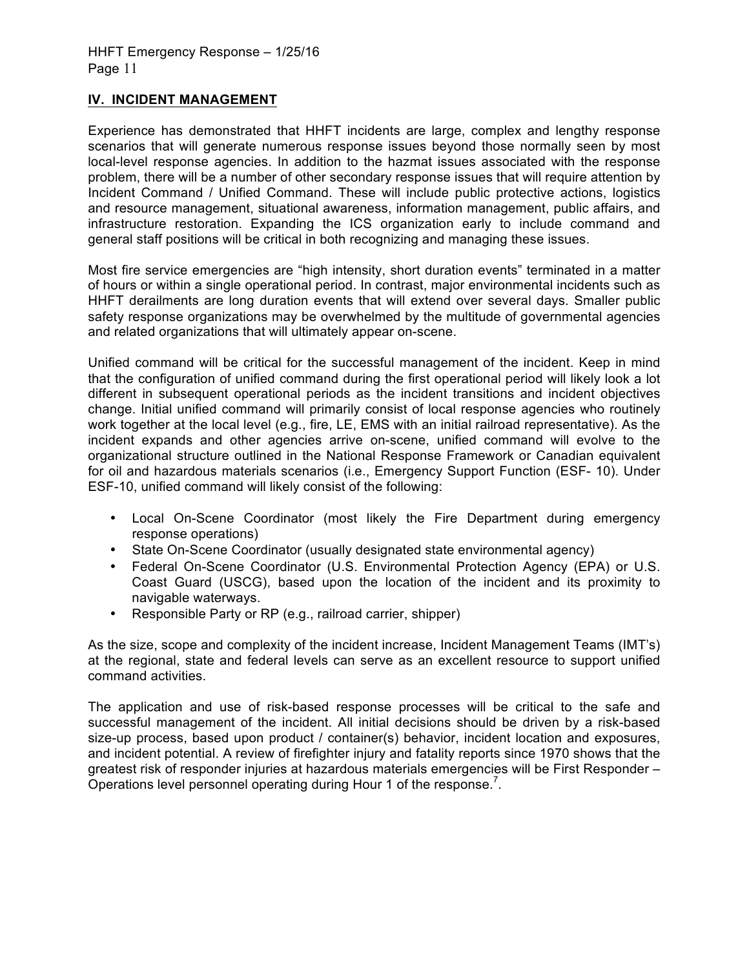### **IV. INCIDENT MANAGEMENT**

Experience has demonstrated that HHFT incidents are large, complex and lengthy response scenarios that will generate numerous response issues beyond those normally seen by most local-level response agencies. In addition to the hazmat issues associated with the response problem, there will be a number of other secondary response issues that will require attention by Incident Command / Unified Command. These will include public protective actions, logistics and resource management, situational awareness, information management, public affairs, and infrastructure restoration. Expanding the ICS organization early to include command and general staff positions will be critical in both recognizing and managing these issues.

Most fire service emergencies are "high intensity, short duration events" terminated in a matter of hours or within a single operational period. In contrast, major environmental incidents such as HHFT derailments are long duration events that will extend over several days. Smaller public safety response organizations may be overwhelmed by the multitude of governmental agencies and related organizations that will ultimately appear on-scene.

Unified command will be critical for the successful management of the incident. Keep in mind that the configuration of unified command during the first operational period will likely look a lot different in subsequent operational periods as the incident transitions and incident objectives change. Initial unified command will primarily consist of local response agencies who routinely work together at the local level (e.g., fire, LE, EMS with an initial railroad representative). As the incident expands and other agencies arrive on-scene, unified command will evolve to the organizational structure outlined in the National Response Framework or Canadian equivalent for oil and hazardous materials scenarios (i.e., Emergency Support Function (ESF- 10). Under ESF-10, unified command will likely consist of the following:

- Local On-Scene Coordinator (most likely the Fire Department during emergency response operations)
- State On-Scene Coordinator (usually designated state environmental agency)
- Federal On-Scene Coordinator (U.S. Environmental Protection Agency (EPA) or U.S. Coast Guard (USCG), based upon the location of the incident and its proximity to navigable waterways.
- Responsible Party or RP (e.g., railroad carrier, shipper)

As the size, scope and complexity of the incident increase, Incident Management Teams (IMT's) at the regional, state and federal levels can serve as an excellent resource to support unified command activities.

The application and use of risk-based response processes will be critical to the safe and successful management of the incident. All initial decisions should be driven by a risk-based size-up process, based upon product / container(s) behavior, incident location and exposures, and incident potential. A review of firefighter injury and fatality reports since 1970 shows that the greatest risk of responder injuries at hazardous materials emergencies will be First Responder – Operations level personnel operating during Hour 1 of the response.<sup>7</sup>.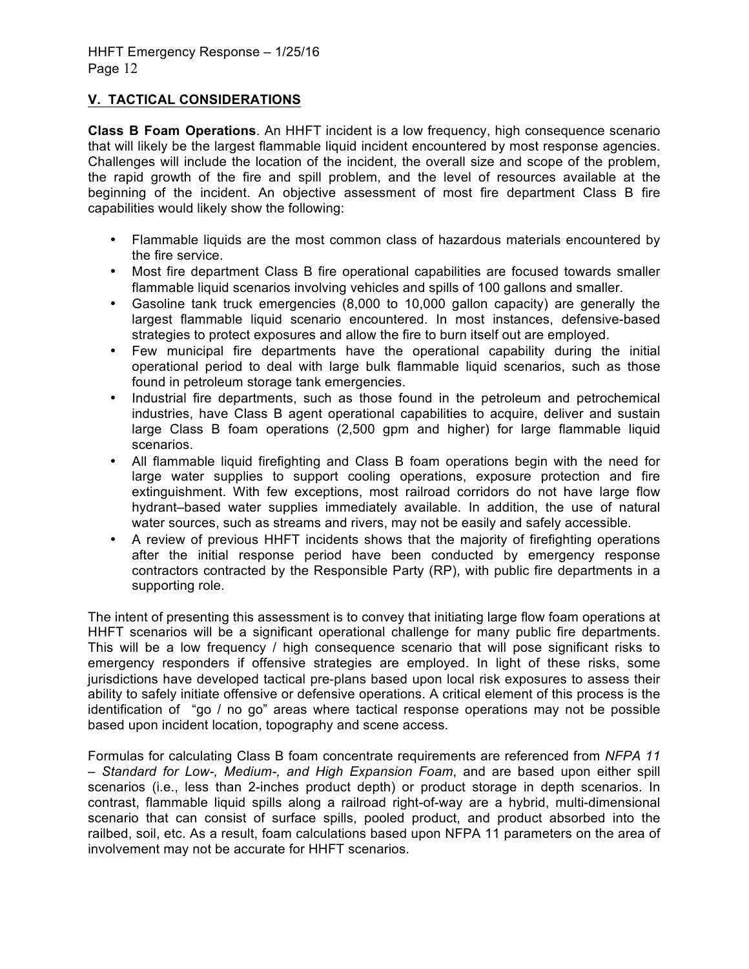# **V. TACTICAL CONSIDERATIONS**

**Class B Foam Operations**. An HHFT incident is a low frequency, high consequence scenario that will likely be the largest flammable liquid incident encountered by most response agencies. Challenges will include the location of the incident, the overall size and scope of the problem, the rapid growth of the fire and spill problem, and the level of resources available at the beginning of the incident. An objective assessment of most fire department Class B fire capabilities would likely show the following:

- Flammable liquids are the most common class of hazardous materials encountered by the fire service.
- Most fire department Class B fire operational capabilities are focused towards smaller flammable liquid scenarios involving vehicles and spills of 100 gallons and smaller.
- Gasoline tank truck emergencies (8,000 to 10,000 gallon capacity) are generally the largest flammable liquid scenario encountered. In most instances, defensive-based strategies to protect exposures and allow the fire to burn itself out are employed.
- Few municipal fire departments have the operational capability during the initial operational period to deal with large bulk flammable liquid scenarios, such as those found in petroleum storage tank emergencies.
- Industrial fire departments, such as those found in the petroleum and petrochemical industries, have Class B agent operational capabilities to acquire, deliver and sustain large Class B foam operations (2,500 gpm and higher) for large flammable liquid scenarios.
- All flammable liquid firefighting and Class B foam operations begin with the need for large water supplies to support cooling operations, exposure protection and fire extinguishment. With few exceptions, most railroad corridors do not have large flow hydrant–based water supplies immediately available. In addition, the use of natural water sources, such as streams and rivers, may not be easily and safely accessible.
- A review of previous HHFT incidents shows that the majority of firefighting operations after the initial response period have been conducted by emergency response contractors contracted by the Responsible Party (RP), with public fire departments in a supporting role.

The intent of presenting this assessment is to convey that initiating large flow foam operations at HHFT scenarios will be a significant operational challenge for many public fire departments. This will be a low frequency / high consequence scenario that will pose significant risks to emergency responders if offensive strategies are employed. In light of these risks, some jurisdictions have developed tactical pre-plans based upon local risk exposures to assess their ability to safely initiate offensive or defensive operations. A critical element of this process is the identification of "go / no go" areas where tactical response operations may not be possible based upon incident location, topography and scene access.

Formulas for calculating Class B foam concentrate requirements are referenced from *NFPA 11 – Standard for Low-, Medium-, and High Expansion Foam*, and are based upon either spill scenarios (i.e., less than 2-inches product depth) or product storage in depth scenarios. In contrast, flammable liquid spills along a railroad right-of-way are a hybrid, multi-dimensional scenario that can consist of surface spills, pooled product, and product absorbed into the railbed, soil, etc. As a result, foam calculations based upon NFPA 11 parameters on the area of involvement may not be accurate for HHFT scenarios.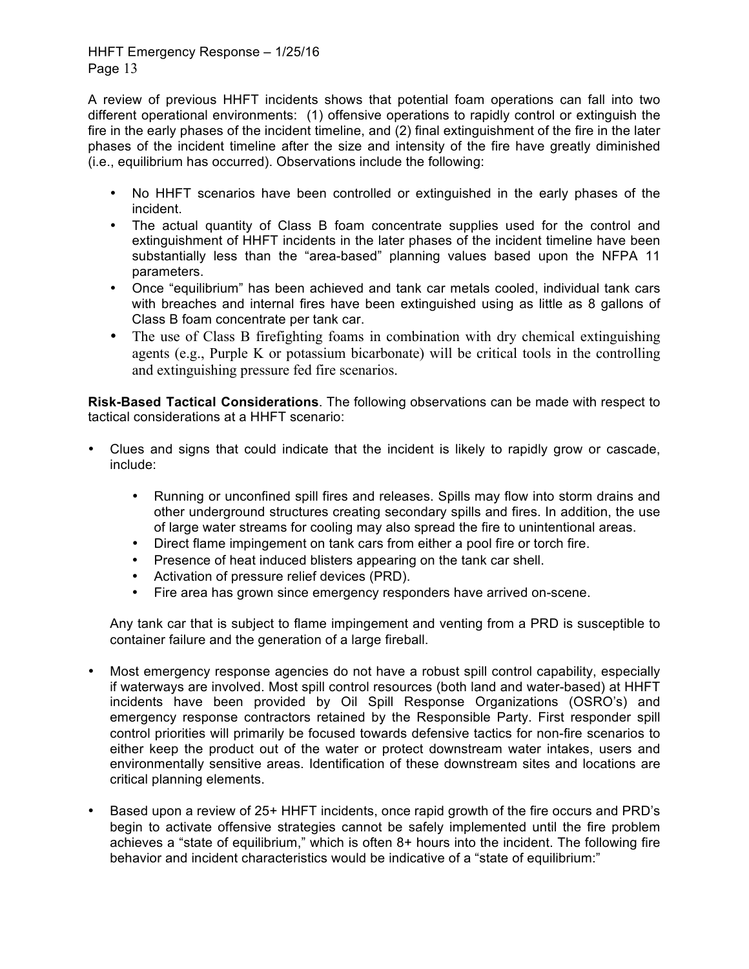A review of previous HHFT incidents shows that potential foam operations can fall into two different operational environments: (1) offensive operations to rapidly control or extinguish the fire in the early phases of the incident timeline, and (2) final extinguishment of the fire in the later phases of the incident timeline after the size and intensity of the fire have greatly diminished (i.e., equilibrium has occurred). Observations include the following:

- No HHFT scenarios have been controlled or extinguished in the early phases of the incident.
- The actual quantity of Class B foam concentrate supplies used for the control and extinguishment of HHFT incidents in the later phases of the incident timeline have been substantially less than the "area-based" planning values based upon the NFPA 11 parameters.
- Once "equilibrium" has been achieved and tank car metals cooled, individual tank cars with breaches and internal fires have been extinguished using as little as 8 gallons of Class B foam concentrate per tank car.
- The use of Class B firefighting foams in combination with dry chemical extinguishing agents (e.g., Purple K or potassium bicarbonate) will be critical tools in the controlling and extinguishing pressure fed fire scenarios.

**Risk-Based Tactical Considerations**. The following observations can be made with respect to tactical considerations at a HHFT scenario:

- Clues and signs that could indicate that the incident is likely to rapidly grow or cascade, include:
	- Running or unconfined spill fires and releases. Spills may flow into storm drains and other underground structures creating secondary spills and fires. In addition, the use of large water streams for cooling may also spread the fire to unintentional areas.
	- Direct flame impingement on tank cars from either a pool fire or torch fire.
	- Presence of heat induced blisters appearing on the tank car shell.
	- Activation of pressure relief devices (PRD).
	- Fire area has grown since emergency responders have arrived on-scene.

Any tank car that is subject to flame impingement and venting from a PRD is susceptible to container failure and the generation of a large fireball.

- Most emergency response agencies do not have a robust spill control capability, especially if waterways are involved. Most spill control resources (both land and water-based) at HHFT incidents have been provided by Oil Spill Response Organizations (OSRO's) and emergency response contractors retained by the Responsible Party. First responder spill control priorities will primarily be focused towards defensive tactics for non-fire scenarios to either keep the product out of the water or protect downstream water intakes, users and environmentally sensitive areas. Identification of these downstream sites and locations are critical planning elements.
- Based upon a review of 25+ HHFT incidents, once rapid growth of the fire occurs and PRD's begin to activate offensive strategies cannot be safely implemented until the fire problem achieves a "state of equilibrium," which is often 8+ hours into the incident. The following fire behavior and incident characteristics would be indicative of a "state of equilibrium:"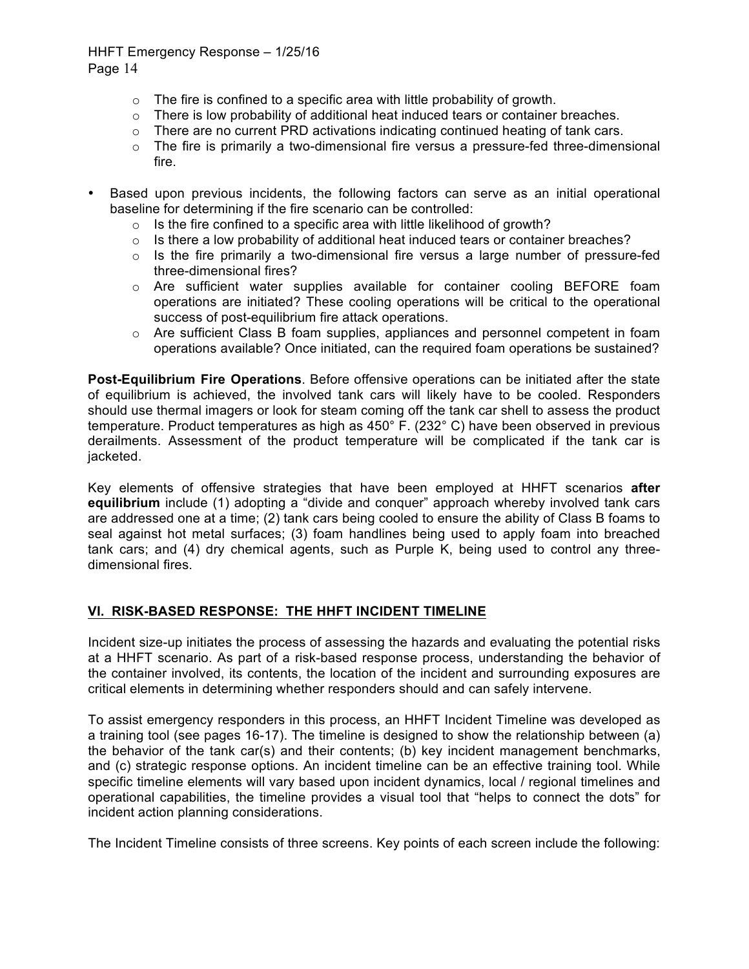- $\circ$  The fire is confined to a specific area with little probability of growth.
- $\circ$  There is low probability of additional heat induced tears or container breaches.
- $\circ$  There are no current PRD activations indicating continued heating of tank cars.
- $\circ$  The fire is primarily a two-dimensional fire versus a pressure-fed three-dimensional fire.
- Based upon previous incidents, the following factors can serve as an initial operational baseline for determining if the fire scenario can be controlled:
	- o Is the fire confined to a specific area with little likelihood of growth?
	- $\circ$  Is there a low probability of additional heat induced tears or container breaches?
	- $\circ$  Is the fire primarily a two-dimensional fire versus a large number of pressure-fed three-dimensional fires?
	- $\circ$  Are sufficient water supplies available for container cooling BEFORE foam operations are initiated? These cooling operations will be critical to the operational success of post-equilibrium fire attack operations.
	- $\circ$  Are sufficient Class B foam supplies, appliances and personnel competent in foam operations available? Once initiated, can the required foam operations be sustained?

**Post-Equilibrium Fire Operations**. Before offensive operations can be initiated after the state of equilibrium is achieved, the involved tank cars will likely have to be cooled. Responders should use thermal imagers or look for steam coming off the tank car shell to assess the product temperature. Product temperatures as high as 450° F. (232° C) have been observed in previous derailments. Assessment of the product temperature will be complicated if the tank car is jacketed.

Key elements of offensive strategies that have been employed at HHFT scenarios **after equilibrium** include (1) adopting a "divide and conquer" approach whereby involved tank cars are addressed one at a time; (2) tank cars being cooled to ensure the ability of Class B foams to seal against hot metal surfaces; (3) foam handlines being used to apply foam into breached tank cars; and (4) dry chemical agents, such as Purple K, being used to control any threedimensional fires.

### **VI. RISK-BASED RESPONSE: THE HHFT INCIDENT TIMELINE**

Incident size-up initiates the process of assessing the hazards and evaluating the potential risks at a HHFT scenario. As part of a risk-based response process, understanding the behavior of the container involved, its contents, the location of the incident and surrounding exposures are critical elements in determining whether responders should and can safely intervene.

To assist emergency responders in this process, an HHFT Incident Timeline was developed as a training tool (see pages 16-17). The timeline is designed to show the relationship between (a) the behavior of the tank car(s) and their contents; (b) key incident management benchmarks, and (c) strategic response options. An incident timeline can be an effective training tool. While specific timeline elements will vary based upon incident dynamics, local / regional timelines and operational capabilities, the timeline provides a visual tool that "helps to connect the dots" for incident action planning considerations.

The Incident Timeline consists of three screens. Key points of each screen include the following: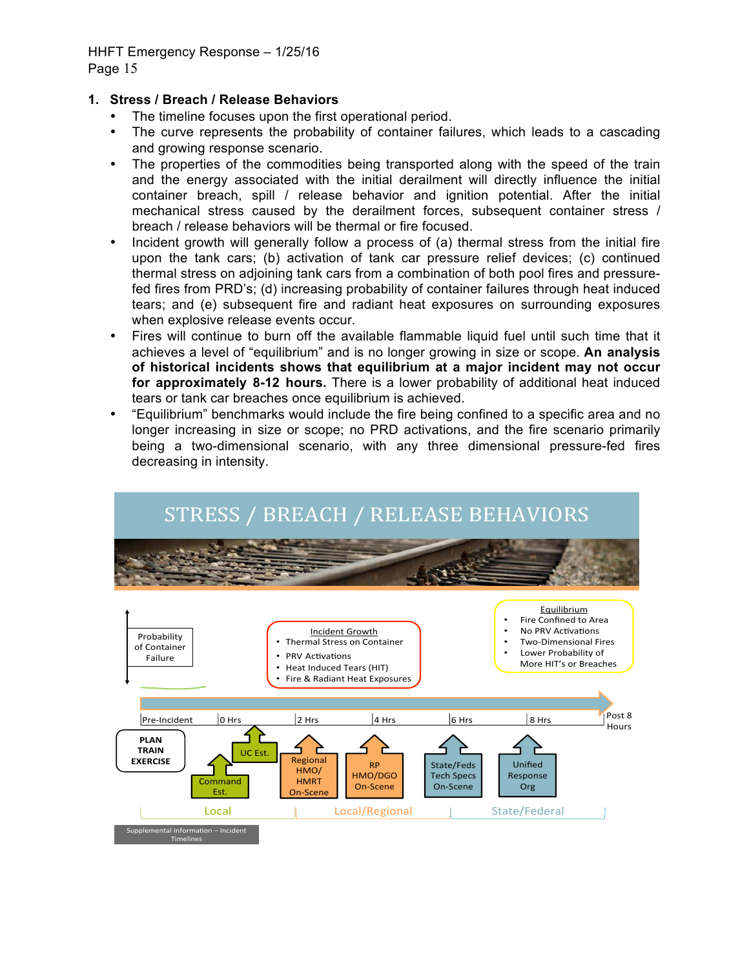# **1. Stress / Breach / Release Behaviors**

- The timeline focuses upon the first operational period.
- The curve represents the probability of container failures, which leads to a cascading and growing response scenario.
- The properties of the commodities being transported along with the speed of the train and the energy associated with the initial derailment will directly influence the initial container breach, spill / release behavior and ignition potential. After the initial mechanical stress caused by the derailment forces, subsequent container stress / breach / release behaviors will be thermal or fire focused.
- Incident growth will generally follow a process of (a) thermal stress from the initial fire upon the tank cars; (b) activation of tank car pressure relief devices; (c) continued thermal stress on adjoining tank cars from a combination of both pool fires and pressurefed fires from PRD's; (d) increasing probability of container failures through heat induced tears; and (e) subsequent fire and radiant heat exposures on surrounding exposures when explosive release events occur.
- Fires will continue to burn off the available flammable liquid fuel until such time that it achieves a level of "equilibrium" and is no longer growing in size or scope. **An analysis of historical incidents shows that equilibrium at a major incident may not occur for approximately 8-12 hours.** There is a lower probability of additional heat induced tears or tank car breaches once equilibrium is achieved.
- "Equilibrium" benchmarks would include the fire being confined to a specific area and no longer increasing in size or scope; no PRD activations, and the fire scenario primarily being a two-dimensional scenario, with any three dimensional pressure-fed fires decreasing in intensity.



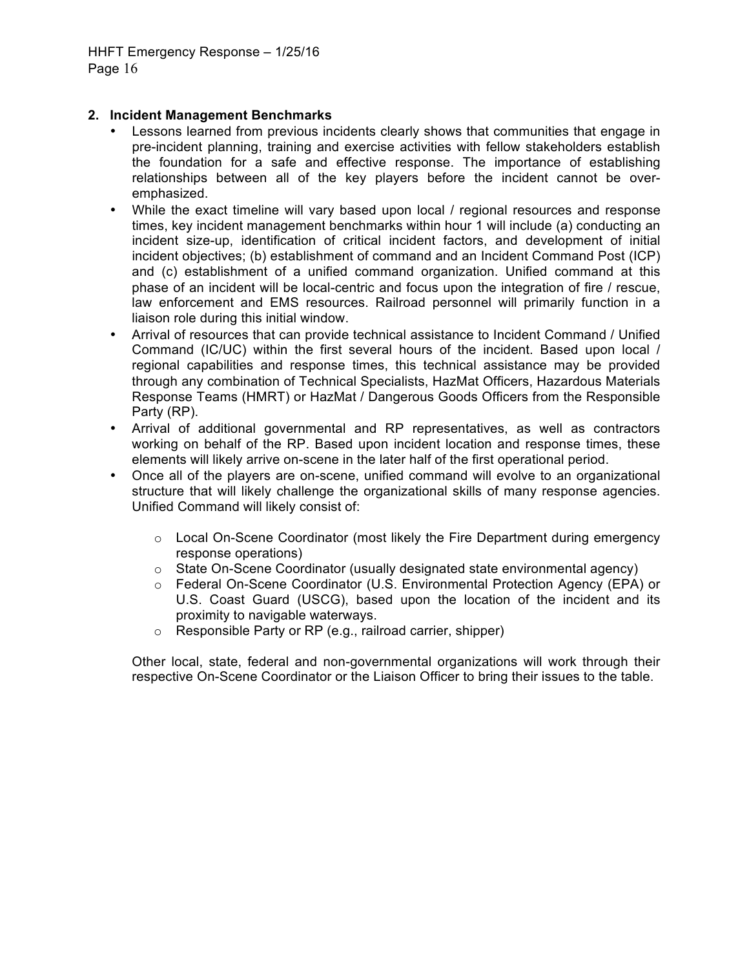### **2. Incident Management Benchmarks**

- Lessons learned from previous incidents clearly shows that communities that engage in pre-incident planning, training and exercise activities with fellow stakeholders establish the foundation for a safe and effective response. The importance of establishing relationships between all of the key players before the incident cannot be overemphasized.
- While the exact timeline will vary based upon local / regional resources and response times, key incident management benchmarks within hour 1 will include (a) conducting an incident size-up, identification of critical incident factors, and development of initial incident objectives; (b) establishment of command and an Incident Command Post (ICP) and (c) establishment of a unified command organization. Unified command at this phase of an incident will be local-centric and focus upon the integration of fire / rescue, law enforcement and EMS resources. Railroad personnel will primarily function in a liaison role during this initial window.
- Arrival of resources that can provide technical assistance to Incident Command / Unified Command (IC/UC) within the first several hours of the incident. Based upon local / regional capabilities and response times, this technical assistance may be provided through any combination of Technical Specialists, HazMat Officers, Hazardous Materials Response Teams (HMRT) or HazMat / Dangerous Goods Officers from the Responsible Party (RP).
- Arrival of additional governmental and RP representatives, as well as contractors working on behalf of the RP. Based upon incident location and response times, these elements will likely arrive on-scene in the later half of the first operational period.
- Once all of the players are on-scene, unified command will evolve to an organizational structure that will likely challenge the organizational skills of many response agencies. Unified Command will likely consist of:
	- o Local On-Scene Coordinator (most likely the Fire Department during emergency response operations)
	- o State On-Scene Coordinator (usually designated state environmental agency)
	- o Federal On-Scene Coordinator (U.S. Environmental Protection Agency (EPA) or U.S. Coast Guard (USCG), based upon the location of the incident and its proximity to navigable waterways.
	- o Responsible Party or RP (e.g., railroad carrier, shipper)

Other local, state, federal and non-governmental organizations will work through their respective On-Scene Coordinator or the Liaison Officer to bring their issues to the table.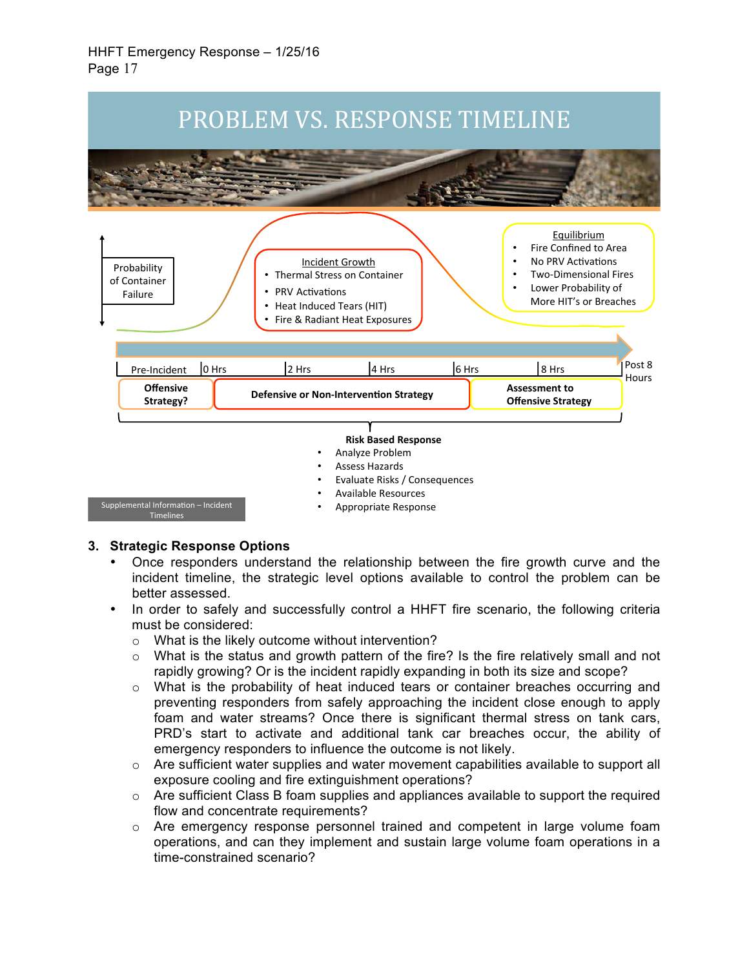

#### **3. Strategic Response Options**

- Once responders understand the relationship between the fire growth curve and the incident timeline, the strategic level options available to control the problem can be better assessed.
- In order to safely and successfully control a HHFT fire scenario, the following criteria must be considered:
	- o What is the likely outcome without intervention?
	- $\circ$  What is the status and growth pattern of the fire? Is the fire relatively small and not rapidly growing? Or is the incident rapidly expanding in both its size and scope?
	- o What is the probability of heat induced tears or container breaches occurring and preventing responders from safely approaching the incident close enough to apply foam and water streams? Once there is significant thermal stress on tank cars, PRD's start to activate and additional tank car breaches occur, the ability of emergency responders to influence the outcome is not likely.
	- $\circ$  Are sufficient water supplies and water movement capabilities available to support all exposure cooling and fire extinguishment operations?
	- $\circ$  Are sufficient Class B foam supplies and appliances available to support the required flow and concentrate requirements?
	- $\circ$  Are emergency response personnel trained and competent in large volume foam operations, and can they implement and sustain large volume foam operations in a time-constrained scenario?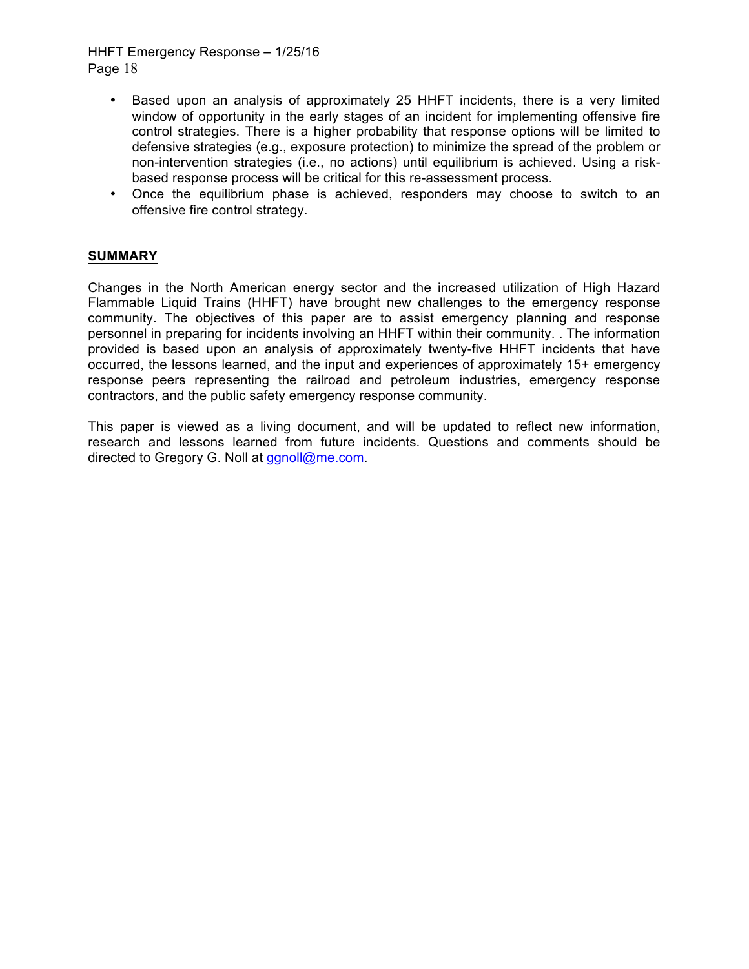- Based upon an analysis of approximately 25 HHFT incidents, there is a very limited window of opportunity in the early stages of an incident for implementing offensive fire control strategies. There is a higher probability that response options will be limited to defensive strategies (e.g., exposure protection) to minimize the spread of the problem or non-intervention strategies (i.e., no actions) until equilibrium is achieved. Using a riskbased response process will be critical for this re-assessment process.
- Once the equilibrium phase is achieved, responders may choose to switch to an offensive fire control strategy.

# **SUMMARY**

Changes in the North American energy sector and the increased utilization of High Hazard Flammable Liquid Trains (HHFT) have brought new challenges to the emergency response community. The objectives of this paper are to assist emergency planning and response personnel in preparing for incidents involving an HHFT within their community. . The information provided is based upon an analysis of approximately twenty-five HHFT incidents that have occurred, the lessons learned, and the input and experiences of approximately 15+ emergency response peers representing the railroad and petroleum industries, emergency response contractors, and the public safety emergency response community.

This paper is viewed as a living document, and will be updated to reflect new information, research and lessons learned from future incidents. Questions and comments should be directed to Gregory G. Noll at ggnoll@me.com.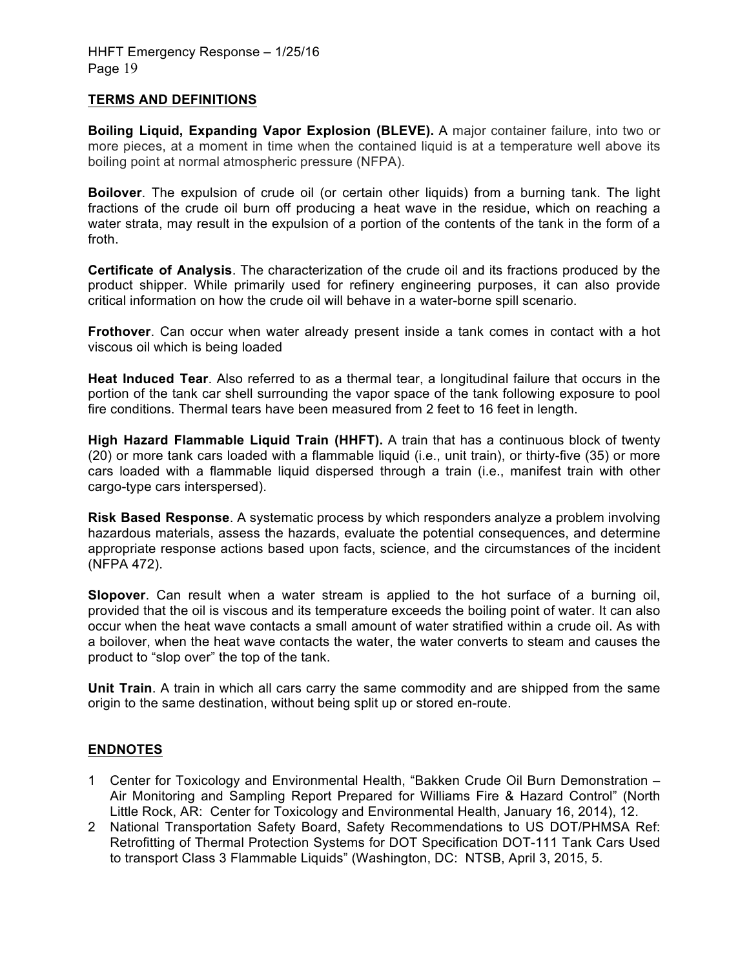#### **TERMS AND DEFINITIONS**

**Boiling Liquid, Expanding Vapor Explosion (BLEVE).** A major container failure, into two or more pieces, at a moment in time when the contained liquid is at a temperature well above its boiling point at normal atmospheric pressure (NFPA).

**Boilover**. The expulsion of crude oil (or certain other liquids) from a burning tank. The light fractions of the crude oil burn off producing a heat wave in the residue, which on reaching a water strata, may result in the expulsion of a portion of the contents of the tank in the form of a froth.

**Certificate of Analysis**. The characterization of the crude oil and its fractions produced by the product shipper. While primarily used for refinery engineering purposes, it can also provide critical information on how the crude oil will behave in a water-borne spill scenario.

**Frothover**. Can occur when water already present inside a tank comes in contact with a hot viscous oil which is being loaded

**Heat Induced Tear**. Also referred to as a thermal tear, a longitudinal failure that occurs in the portion of the tank car shell surrounding the vapor space of the tank following exposure to pool fire conditions. Thermal tears have been measured from 2 feet to 16 feet in length.

**High Hazard Flammable Liquid Train (HHFT).** A train that has a continuous block of twenty (20) or more tank cars loaded with a flammable liquid (i.e., unit train), or thirty-five (35) or more cars loaded with a flammable liquid dispersed through a train (i.e., manifest train with other cargo-type cars interspersed).

**Risk Based Response**. A systematic process by which responders analyze a problem involving hazardous materials, assess the hazards, evaluate the potential consequences, and determine appropriate response actions based upon facts, science, and the circumstances of the incident (NFPA 472).

**Slopover**. Can result when a water stream is applied to the hot surface of a burning oil, provided that the oil is viscous and its temperature exceeds the boiling point of water. It can also occur when the heat wave contacts a small amount of water stratified within a crude oil. As with a boilover, when the heat wave contacts the water, the water converts to steam and causes the product to "slop over" the top of the tank.

**Unit Train**. A train in which all cars carry the same commodity and are shipped from the same origin to the same destination, without being split up or stored en-route.

### **ENDNOTES**

- 1 Center for Toxicology and Environmental Health, "Bakken Crude Oil Burn Demonstration Air Monitoring and Sampling Report Prepared for Williams Fire & Hazard Control" (North Little Rock, AR: Center for Toxicology and Environmental Health, January 16, 2014), 12.
- 2 National Transportation Safety Board, Safety Recommendations to US DOT/PHMSA Ref: Retrofitting of Thermal Protection Systems for DOT Specification DOT-111 Tank Cars Used to transport Class 3 Flammable Liquids" (Washington, DC: NTSB, April 3, 2015, 5.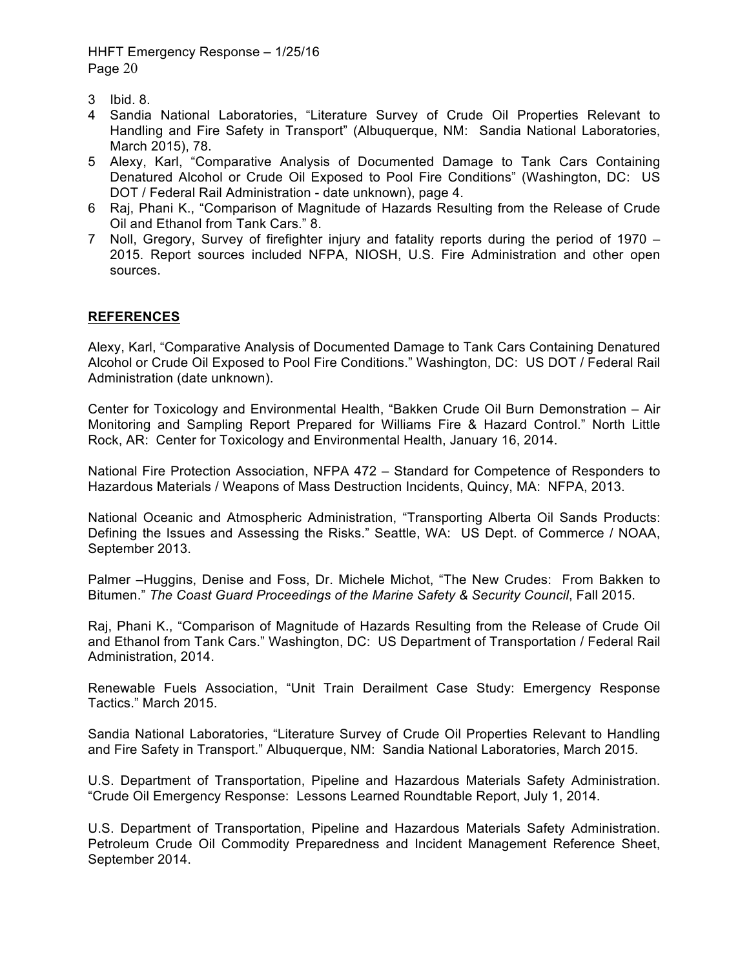- 3 Ibid. 8.
- 4 Sandia National Laboratories, "Literature Survey of Crude Oil Properties Relevant to Handling and Fire Safety in Transport" (Albuquerque, NM: Sandia National Laboratories, March 2015), 78.
- 5 Alexy, Karl, "Comparative Analysis of Documented Damage to Tank Cars Containing Denatured Alcohol or Crude Oil Exposed to Pool Fire Conditions" (Washington, DC: US DOT / Federal Rail Administration - date unknown), page 4.
- 6 Raj, Phani K., "Comparison of Magnitude of Hazards Resulting from the Release of Crude Oil and Ethanol from Tank Cars." 8.
- 7 Noll, Gregory, Survey of firefighter injury and fatality reports during the period of 1970 2015. Report sources included NFPA, NIOSH, U.S. Fire Administration and other open sources.

### **REFERENCES**

Alexy, Karl, "Comparative Analysis of Documented Damage to Tank Cars Containing Denatured Alcohol or Crude Oil Exposed to Pool Fire Conditions." Washington, DC: US DOT / Federal Rail Administration (date unknown).

Center for Toxicology and Environmental Health, "Bakken Crude Oil Burn Demonstration – Air Monitoring and Sampling Report Prepared for Williams Fire & Hazard Control." North Little Rock, AR: Center for Toxicology and Environmental Health, January 16, 2014.

National Fire Protection Association, NFPA 472 – Standard for Competence of Responders to Hazardous Materials / Weapons of Mass Destruction Incidents, Quincy, MA: NFPA, 2013.

National Oceanic and Atmospheric Administration, "Transporting Alberta Oil Sands Products: Defining the Issues and Assessing the Risks." Seattle, WA: US Dept. of Commerce / NOAA, September 2013.

Palmer –Huggins, Denise and Foss, Dr. Michele Michot, "The New Crudes: From Bakken to Bitumen." *The Coast Guard Proceedings of the Marine Safety & Security Council*, Fall 2015.

Raj, Phani K., "Comparison of Magnitude of Hazards Resulting from the Release of Crude Oil and Ethanol from Tank Cars." Washington, DC: US Department of Transportation / Federal Rail Administration, 2014.

Renewable Fuels Association, "Unit Train Derailment Case Study: Emergency Response Tactics." March 2015.

Sandia National Laboratories, "Literature Survey of Crude Oil Properties Relevant to Handling and Fire Safety in Transport." Albuquerque, NM: Sandia National Laboratories, March 2015.

U.S. Department of Transportation, Pipeline and Hazardous Materials Safety Administration. "Crude Oil Emergency Response: Lessons Learned Roundtable Report, July 1, 2014.

U.S. Department of Transportation, Pipeline and Hazardous Materials Safety Administration. Petroleum Crude Oil Commodity Preparedness and Incident Management Reference Sheet, September 2014.